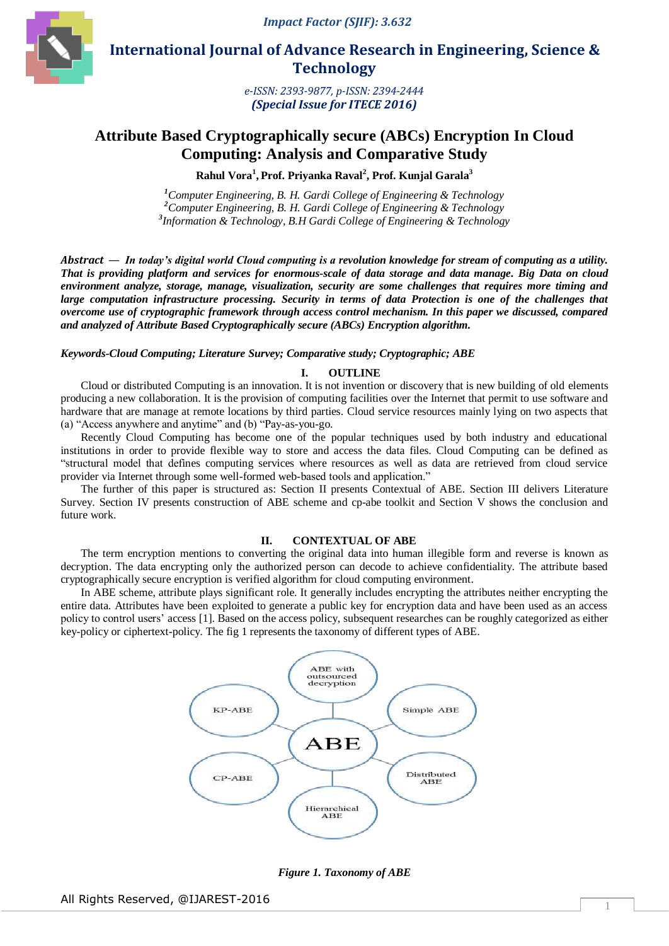

 **International Journal of Advance Research in Engineering, Science & Technology** 

> *e-ISSN: 2393-9877, p-ISSN: 2394-2444 (Special Issue for ITECE 2016)*

# **Attribute Based Cryptographically secure (ABCs) Encryption In Cloud Computing: Analysis and Comparative Study**

**Rahul Vora<sup>1</sup> , Prof. Priyanka Raval<sup>2</sup> , Prof. Kunjal Garala<sup>3</sup>**

*<sup>1</sup>Computer Engineering, B. H. Gardi College of Engineering & Technology <sup>2</sup>Computer Engineering, B. H. Gardi College of Engineering & Technology 3 Information & Technology, B.H Gardi College of Engineering & Technology*

*Abstract* — *In today's digital world Cloud computing is a revolution knowledge for stream of computing as a utility. That is providing platform and services for enormous-scale of data storage and data manage. Big Data on cloud environment analyze, storage, manage, visualization, security are some challenges that requires more timing and*  large computation infrastructure processing. Security in terms of data Protection is one of the challenges that *overcome use of cryptographic framework through access control mechanism. In this paper we discussed, compared and analyzed of Attribute Based Cryptographically secure (ABCs) Encryption algorithm.*

*Keywords-Cloud Computing; Literature Survey; Comparative study; Cryptographic; ABE*

#### **I. OUTLINE**

Cloud or distributed Computing is an innovation. It is not invention or discovery that is new building of old elements producing a new collaboration. It is the provision of computing facilities over the Internet that permit to use software and hardware that are manage at remote locations by third parties. Cloud service resources mainly lying on two aspects that (a) "Access anywhere and anytime" and (b) "Pay-as-you-go.

Recently Cloud Computing has become one of the popular techniques used by both industry and educational institutions in order to provide flexible way to store and access the data files. Cloud Computing can be defined as "structural model that defines computing services where resources as well as data are retrieved from cloud service provider via Internet through some well-formed web-based tools and application."

The further of this paper is structured as: Section II presents Contextual of ABE. Section III delivers Literature Survey. Section IV presents construction of ABE scheme and cp-abe toolkit and Section V shows the conclusion and future work.

#### **II. CONTEXTUAL OF ABE**

The term encryption mentions to converting the original data into human illegible form and reverse is known as decryption. The data encrypting only the authorized person can decode to achieve confidentiality. The attribute based cryptographically secure encryption is verified algorithm for cloud computing environment.

In ABE scheme, attribute plays significant role. It generally includes encrypting the attributes neither encrypting the entire data. Attributes have been exploited to generate a public key for encryption data and have been used as an access policy to control users' access [1]. Based on the access policy, subsequent researches can be roughly categorized as either key-policy or ciphertext-policy. The fig 1 represents the taxonomy of different types of ABE.



*Figure 1. Taxonomy of ABE*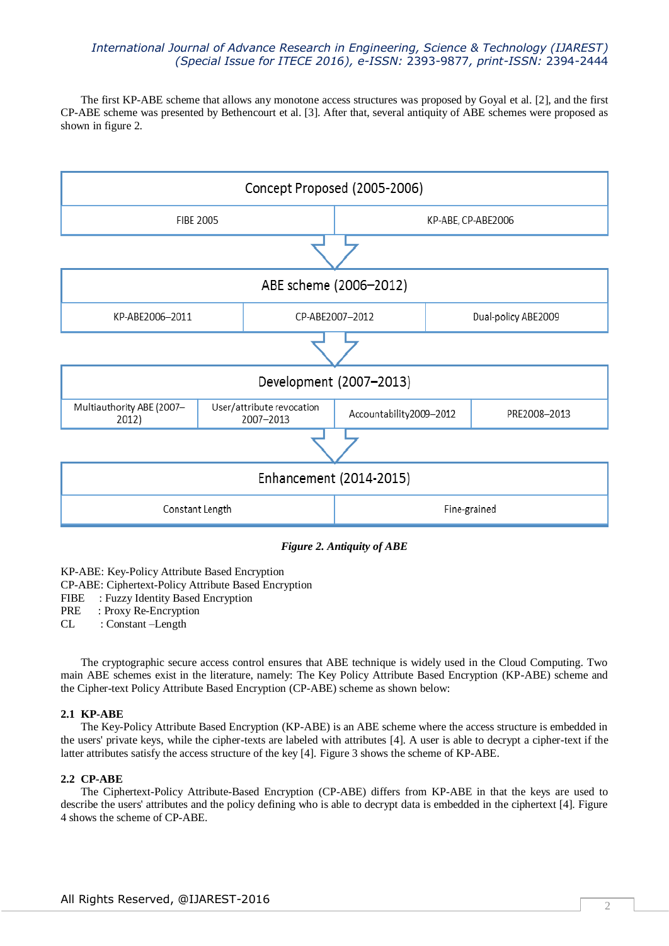The first KP-ABE scheme that allows any monotone access structures was proposed by Goyal et al. [2], and the first CP-ABE scheme was presented by Bethencourt et al. [3]. After that, several antiquity of ABE schemes were proposed as shown in figure 2.



*Figure 2. Antiquity of ABE*

KP-ABE: Key-Policy Attribute Based Encryption

CP-ABE: Ciphertext-Policy Attribute Based Encryption

FIBE : Fuzzy Identity Based Encryption

PRE : Proxy Re-Encryption

CL : Constant –Length

The cryptographic secure access control ensures that ABE technique is widely used in the Cloud Computing. Two main ABE schemes exist in the literature, namely: The Key Policy Attribute Based Encryption (KP-ABE) scheme and the Cipher-text Policy Attribute Based Encryption (CP-ABE) scheme as shown below:

#### **2.1 KP-ABE**

The Key-Policy Attribute Based Encryption (KP-ABE) is an ABE scheme where the access structure is embedded in the users' private keys, while the cipher-texts are labeled with attributes [4]. A user is able to decrypt a cipher-text if the latter attributes satisfy the access structure of the key [4]. Figure 3 shows the scheme of KP-ABE.

# **2.2 CP-ABE**

The Ciphertext-Policy Attribute-Based Encryption (CP-ABE) differs from KP-ABE in that the keys are used to describe the users' attributes and the policy defining who is able to decrypt data is embedded in the ciphertext [4]. Figure 4 shows the scheme of CP-ABE.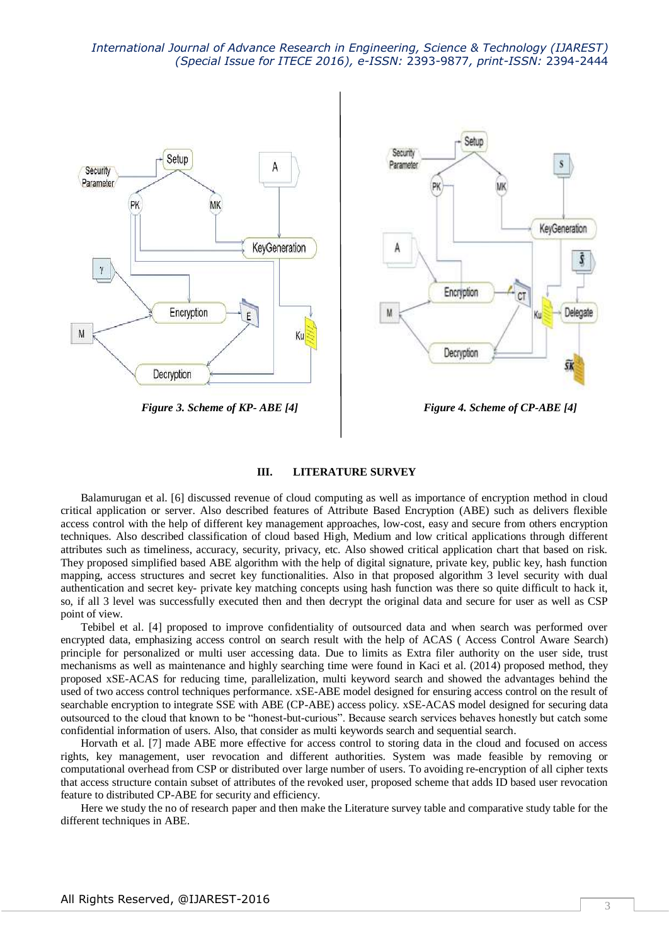

*Figure 3. Scheme of KP- ABE [4] Figure 4. Scheme of CP-ABE [4]*

#### **III. LITERATURE SURVEY**

Balamurugan et al. [6] discussed revenue of cloud computing as well as importance of encryption method in cloud critical application or server. Also described features of Attribute Based Encryption (ABE) such as delivers flexible access control with the help of different key management approaches, low-cost, easy and secure from others encryption techniques. Also described classification of cloud based High, Medium and low critical applications through different attributes such as timeliness, accuracy, security, privacy, etc. Also showed critical application chart that based on risk. They proposed simplified based ABE algorithm with the help of digital signature, private key, public key, hash function mapping, access structures and secret key functionalities. Also in that proposed algorithm 3 level security with dual authentication and secret key- private key matching concepts using hash function was there so quite difficult to hack it, so, if all 3 level was successfully executed then and then decrypt the original data and secure for user as well as CSP point of view.

Tebibel et al. [4] proposed to improve confidentiality of outsourced data and when search was performed over encrypted data, emphasizing access control on search result with the help of ACAS ( Access Control Aware Search) principle for personalized or multi user accessing data. Due to limits as Extra filer authority on the user side, trust mechanisms as well as maintenance and highly searching time were found in Kaci et al. (2014) proposed method, they proposed xSE-ACAS for reducing time, parallelization, multi keyword search and showed the advantages behind the used of two access control techniques performance. xSE-ABE model designed for ensuring access control on the result of searchable encryption to integrate SSE with ABE (CP-ABE) access policy. xSE-ACAS model designed for securing data outsourced to the cloud that known to be "honest-but-curious". Because search services behaves honestly but catch some confidential information of users. Also, that consider as multi keywords search and sequential search.

Horvath et al. [7] made ABE more effective for access control to storing data in the cloud and focused on access rights, key management, user revocation and different authorities. System was made feasible by removing or computational overhead from CSP or distributed over large number of users. To avoiding re-encryption of all cipher texts that access structure contain subset of attributes of the revoked user, proposed scheme that adds ID based user revocation feature to distributed CP-ABE for security and efficiency.

Here we study the no of research paper and then make the Literature survey table and comparative study table for the different techniques in ABE.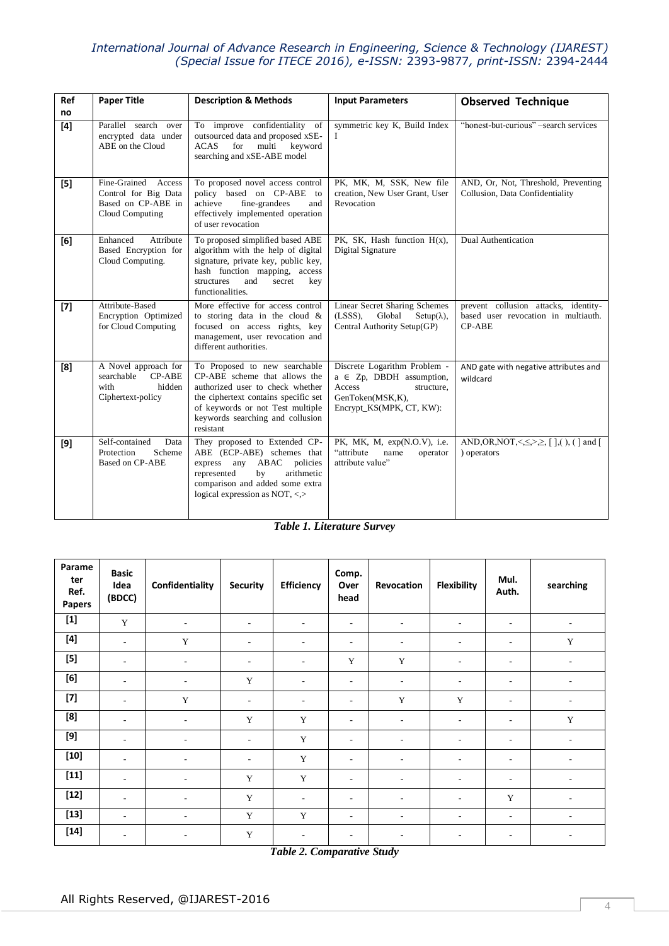| Ref   | <b>Paper Title</b>                                                                   | <b>Description &amp; Methods</b>                                                                                                                                                                                                | <b>Input Parameters</b>                                                                                                               | <b>Observed Technique</b>                                                                                                                                                                                                                                                                                 |  |
|-------|--------------------------------------------------------------------------------------|---------------------------------------------------------------------------------------------------------------------------------------------------------------------------------------------------------------------------------|---------------------------------------------------------------------------------------------------------------------------------------|-----------------------------------------------------------------------------------------------------------------------------------------------------------------------------------------------------------------------------------------------------------------------------------------------------------|--|
| no    |                                                                                      |                                                                                                                                                                                                                                 |                                                                                                                                       |                                                                                                                                                                                                                                                                                                           |  |
| [4]   | Parallel search over<br>encrypted data under<br>ABE on the Cloud                     | To improve confidentiality of<br>outsourced data and proposed xSE-<br>for<br>multi<br>keyword<br>ACAS<br>searching and xSE-ABE model                                                                                            | symmetric key K, Build Index<br>L                                                                                                     | "honest-but-curious" -search services                                                                                                                                                                                                                                                                     |  |
| $[5]$ | Fine-Grained Access<br>Control for Big Data<br>Based on CP-ABE in<br>Cloud Computing | To proposed novel access control<br>policy based on CP-ABE to<br>achieve<br>fine-grandees<br>and<br>effectively implemented operation<br>of user revocation                                                                     | PK, MK, M, SSK, New file<br>creation, New User Grant, User<br>Revocation                                                              | AND, Or, Not, Threshold, Preventing<br>Collusion, Data Confidentiality                                                                                                                                                                                                                                    |  |
| [6]   | Attribute<br>Enhanced<br>Based Encryption for<br>Cloud Computing.                    | To proposed simplified based ABE<br>algorithm with the help of digital<br>signature, private key, public key,<br>hash function mapping, access<br>structures<br>and<br>secret<br>key<br>functionalities.                        | PK, SK, Hash function H(x),<br>Digital Signature                                                                                      | Dual Authentication                                                                                                                                                                                                                                                                                       |  |
| $[7]$ | Attribute-Based<br>Encryption Optimized<br>for Cloud Computing                       | More effective for access control<br>to storing data in the cloud $\&$<br>focused on access rights, key<br>management, user revocation and<br>different authorities.                                                            | <b>Linear Secret Sharing Schemes</b><br>$(LSSS)$ ,<br>Global<br>$Setup(\lambda)$ ,<br>Central Authority Setup(GP)                     | prevent collusion attacks, identity-<br>based user revocation in multiauth.<br><b>CP-ABE</b>                                                                                                                                                                                                              |  |
| [8]   | A Novel approach for<br>CP-ABE<br>searchable<br>with<br>hidden<br>Ciphertext-policy  | To Proposed to new searchable<br>CP-ABE scheme that allows the<br>authorized user to check whether<br>the ciphertext contains specific set<br>of keywords or not Test multiple<br>keywords searching and collusion<br>resistant | Discrete Logarithm Problem -<br>$a \in Zp$ , DBDH assumption,<br>Access<br>structure,<br>GenToken(MSK,K),<br>Encrypt_KS(MPK, CT, KW): | AND gate with negative attributes and<br>wildcard                                                                                                                                                                                                                                                         |  |
| [9]   | Self-contained<br>Data<br>Protection<br>Scheme<br><b>Based on CP-ABE</b>             | They proposed to Extended CP-<br>ABE (ECP-ABE) schemes that<br>ABAC<br>policies<br>express<br>any<br>represented<br>by<br>arithmetic<br>comparison and added some extra<br>logical expression as NOT, <,>                       | PK, MK, M, exp(N.O.V), i.e.<br>"attribute<br>name<br>operator<br>attribute value"                                                     | AND, OR, NOT, < $\leq$ , $\geq$ , $\leq$ , $\geq$ , $\leq$ , $\geq$ , $\leq$ , $\geq$ , $\leq$ , $\geq$ , $\leq$ , $\geq$ , $\leq$ , $\geq$ , $\leq$ , $\geq$ , $\leq$ , $\geq$ , $\leq$ , $\geq$ , $\leq$ , $\geq$ , $\leq$ , $\geq$ , $\leq$ , $\geq$ , $\leq$ , $\geq$ , $\leq$ , $\ge$<br>) operators |  |

# *Table 1. Literature Survey*

| Parame<br>ter<br>Ref.<br>Papers                                                                                                                                                                                                                                | <b>Basic</b><br>Idea<br>(BDCC) | Confidentiality          | <b>Security</b>          | <b>Efficiency</b>        | Comp.<br>Over<br>head    | Revocation               | <b>Flexibility</b>       | Mul.<br>Auth.            | searching                |
|----------------------------------------------------------------------------------------------------------------------------------------------------------------------------------------------------------------------------------------------------------------|--------------------------------|--------------------------|--------------------------|--------------------------|--------------------------|--------------------------|--------------------------|--------------------------|--------------------------|
|                                                                                                                                                                                                                                                                | Y                              | $\overline{\phantom{a}}$ | $\overline{\phantom{a}}$ | $\sim$                   | $\overline{\phantom{a}}$ | $\overline{\phantom{a}}$ | $\overline{\phantom{a}}$ | $\overline{\phantom{a}}$ |                          |
|                                                                                                                                                                                                                                                                | $\sim$                         | $\mathbf Y$              | $\overline{\phantom{a}}$ | $\overline{\phantom{a}}$ | $\overline{\phantom{a}}$ | $\overline{\phantom{a}}$ | $\overline{\phantom{a}}$ | $\overline{\phantom{a}}$ | $\mathbf Y$              |
| $[5]$                                                                                                                                                                                                                                                          | $\overline{\phantom{a}}$       | $\overline{\phantom{a}}$ | $\overline{\phantom{a}}$ | $\overline{\phantom{a}}$ | $\mathbf Y$              | Y                        | $\overline{\phantom{a}}$ | $\overline{\phantom{a}}$ |                          |
| [6]                                                                                                                                                                                                                                                            | $\overline{\phantom{a}}$       | $\overline{\phantom{a}}$ | Y                        | $\overline{\phantom{a}}$ | $\overline{\phantom{a}}$ | $\overline{\phantom{a}}$ | $\overline{\phantom{a}}$ | $\overline{\phantom{a}}$ | $\overline{\phantom{a}}$ |
| $[7] \centering% \includegraphics[width=1.0\textwidth]{images/TrDiC-Architecture.png} \caption{The 3D (top) and the 4D (bottom) of the 3D (bottom) and the 4D (bottom) of the 3D (bottom) and the 4D (bottom) of the 3D (bottom).} \label{TrDiC-Architecture}$ | $\overline{\phantom{a}}$       | Y                        | $\overline{\phantom{a}}$ | $\overline{\phantom{a}}$ | $\overline{\phantom{a}}$ | Y                        | Y                        | $\overline{\phantom{a}}$ |                          |
| [8]                                                                                                                                                                                                                                                            | $\overline{\phantom{a}}$       | $\overline{\phantom{a}}$ | Y                        | Y                        | $\overline{\phantom{a}}$ | $\overline{\phantom{a}}$ | $\overline{\phantom{a}}$ | $\overline{\phantom{a}}$ | $\mathbf Y$              |
|                                                                                                                                                                                                                                                                | $\overline{\phantom{a}}$       | $\overline{\phantom{a}}$ | $\overline{\phantom{a}}$ | Y                        | $\overline{\phantom{a}}$ | $\overline{\phantom{a}}$ | $\overline{\phantom{a}}$ | $\overline{\phantom{a}}$ | ٠                        |
| $[10]$                                                                                                                                                                                                                                                         | $\overline{\phantom{a}}$       | $\overline{\phantom{0}}$ | $\overline{\phantom{a}}$ | $\mathbf Y$              | $\overline{\phantom{a}}$ | $\overline{\phantom{a}}$ | $\overline{\phantom{a}}$ | $\overline{\phantom{a}}$ |                          |
| $[11]$                                                                                                                                                                                                                                                         | $\overline{\phantom{a}}$       | ٠                        | $\mathbf Y$              | $\mathbf Y$              | $\overline{\phantom{a}}$ | $\overline{\phantom{a}}$ | $\overline{\phantom{a}}$ | $\overline{\phantom{a}}$ | ٠                        |
| $[12]$                                                                                                                                                                                                                                                         | $\overline{\phantom{a}}$       | $\overline{\phantom{a}}$ | Y                        | $\sim$                   | $\overline{\phantom{a}}$ | $\overline{\phantom{a}}$ | $\overline{\phantom{a}}$ | $\mathbf Y$              |                          |
| $[13]$                                                                                                                                                                                                                                                         | $\sim$                         | ٠                        | Y                        | Y                        | $\sim$                   | $\overline{\phantom{a}}$ | $\overline{\phantom{a}}$ | $\sim$                   | $\overline{\phantom{a}}$ |
| $[14]$                                                                                                                                                                                                                                                         | $\overline{\phantom{a}}$       | $\overline{\phantom{a}}$ | Y                        | $\overline{a}$           | $\overline{\phantom{a}}$ | $\overline{\phantom{a}}$ | $\overline{\phantom{a}}$ | $\overline{\phantom{a}}$ |                          |

*Table 2. Comparative Study*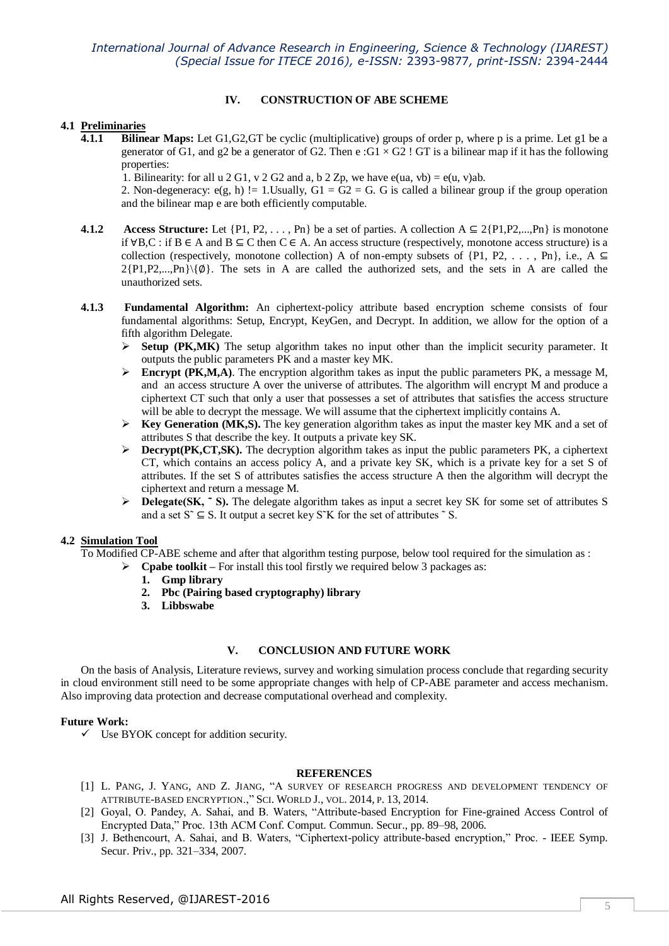# **IV. CONSTRUCTION OF ABE SCHEME**

# **4.1 Preliminaries**

**4.1.1 Bilinear Maps:** Let G1,G2,GT be cyclic (multiplicative) groups of order p, where p is a prime. Let g1 be a generator of G1, and g2 be a generator of G2. Then e:  $G1 \times G2$ ! GT is a bilinear map if it has the following properties:

1. Bilinearity: for all u 2 G1, v 2 G2 and a, b 2 Zp, we have  $e(ua, vb) = e(u, v)ab$ .

2. Non-degeneracy:  $e(g, h)$  != 1.Usually,  $G1 = G2 = G$ . G is called a bilinear group if the group operation and the bilinear map e are both efficiently computable.

- **4.1.2** Access Structure: Let  $\{P1, P2, \ldots, Pn\}$  be a set of parties. A collection  $A \subseteq 2\{P1, P2, \ldots, Pn\}$  is monotone if ∀B,C : if B ∈ A and B ⊆ C then C ∈ A. An access structure (respectively, monotone access structure) is a collection (respectively, monotone collection) A of non-empty subsets of  $\{P1, P2, \ldots, Pn\}$ , i.e., A ⊆  $2\{P1,P2,...,Pn\}\{\emptyset\}$ . The sets in A are called the authorized sets, and the sets in A are called the unauthorized sets.
- **4.1.3 Fundamental Algorithm:** An ciphertext-policy attribute based encryption scheme consists of four fundamental algorithms: Setup, Encrypt, KeyGen, and Decrypt. In addition, we allow for the option of a fifth algorithm Delegate.
	- $\triangleright$  **Setup (PK,MK)** The setup algorithm takes no input other than the implicit security parameter. It outputs the public parameters PK and a master key MK.
	- Encrypt (PK,M,A). The encryption algorithm takes as input the public parameters PK, a message M, and an access structure A over the universe of attributes. The algorithm will encrypt M and produce a ciphertext CT such that only a user that possesses a set of attributes that satisfies the access structure will be able to decrypt the message. We will assume that the ciphertext implicitly contains A.
	- **Key Generation (MK,S).** The key generation algorithm takes as input the master key MK and a set of attributes S that describe the key. It outputs a private key SK.
	- $\triangleright$  **Decrypt(PK,CT,SK).** The decryption algorithm takes as input the public parameters PK, a ciphertext CT, which contains an access policy A, and a private key SK, which is a private key for a set S of attributes. If the set S of attributes satisfies the access structure A then the algorithm will decrypt the ciphertext and return a message M.
	- **Delegate(SK, ~ S).** The delegate algorithm takes as input a secret key SK for some set of attributes S and a set  $S^{\sim} \subseteq S$ . It output a secret key S<sup> $\sim$ </sup>K for the set of attributes  $\sim$  S.

# **4.2 Simulation Tool**

To Modified CP-ABE scheme and after that algorithm testing purpose, below tool required for the simulation as :

- **Cpabe toolkit –** For install this tool firstly we required below 3 packages as:
	- **1. Gmp library**
	- **2. Pbc (Pairing based cryptography) library**
	- **3. Libbswabe**

# **V. CONCLUSION AND FUTURE WORK**

On the basis of Analysis, Literature reviews, survey and working simulation process conclude that regarding security in cloud environment still need to be some appropriate changes with help of CP-ABE parameter and access mechanism. Also improving data protection and decrease computational overhead and complexity.

# **Future Work:**

 $\checkmark$  Use BYOK concept for addition security.

### **REFERENCES**

- [1] L. PANG, J. YANG, AND Z. JIANG, "A SURVEY OF RESEARCH PROGRESS AND DEVELOPMENT TENDENCY OF ATTRIBUTE-BASED ENCRYPTION.," SCI. WORLD J., VOL. 2014, P. 13, 2014.
- [2] Goyal, O. Pandey, A. Sahai, and B. Waters, "Attribute-based Encryption for Fine-grained Access Control of Encrypted Data," Proc. 13th ACM Conf. Comput. Commun. Secur., pp. 89–98, 2006.
- [3] J. Bethencourt, A. Sahai, and B. Waters, "Ciphertext-policy attribute-based encryption," Proc. IEEE Symp. Secur. Priv., pp. 321–334, 2007.